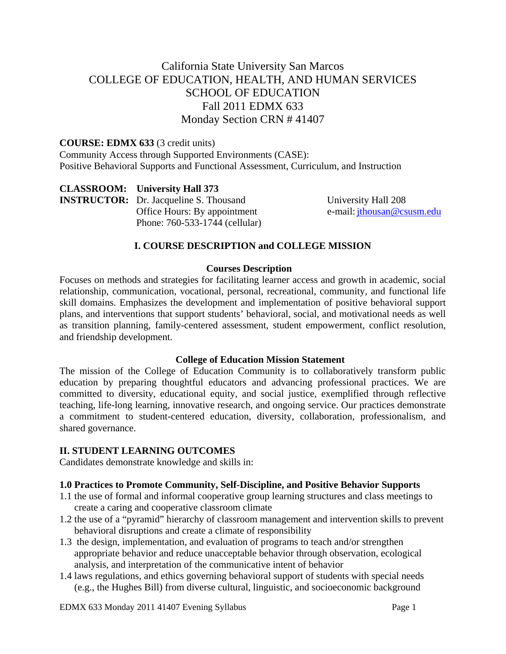# California State University San Marcos COLLEGE OF EDUCATION, HEALTH, AND HUMAN SERVICES SCHOOL OF EDUCATION Fall 2011 EDMX 633 Monday Section CRN # 41407

#### **COURSE: EDMX 633** (3 credit units)

Community Access through Supported Environments (CASE): Positive Behavioral Supports and Functional Assessment, Curriculum, and Instruction

 **CLASSROOM: University Hall 373 INSTRUCTOR:**  Dr. Jacqueline S. Thousand Office Hours: By appointment Phone: 760-533-1744 (cellular)

University Hall 208 e-mail: jthousan@csusm.edu

## **I. COURSE DESCRIPTION and COLLEGE MISSION**

#### **Courses Description**

Focuses on methods and strategies for facilitating learner access and growth in academic, social relationship, communication, vocational, personal, recreational, community, and functional life skill domains. Emphasizes the development and implementation of positive behavioral support plans, and interventions that support students' behavioral, social, and motivational needs as well as transition planning, family-centered assessment, student empowerment, conflict resolution, and friendship development.

#### **College of Education Mission Statement**

The mission of the College of Education Community is to collaboratively transform public education by preparing thoughtful educators and advancing professional practices. We are committed to diversity, educational equity, and social justice, exemplified through reflective teaching, life-long learning, innovative research, and ongoing service. Our practices demonstrate a commitment to student-centered education, diversity, collaboration, professionalism, and shared governance.

#### **II. STUDENT LEARNING OUTCOMES**

Candidates demonstrate knowledge and skills in:

#### **1.0 Practices to Promote Community, Self-Discipline, and Positive Behavior Supports**

- 1.1 the use of formal and informal cooperative group learning structures and class meetings to create a caring and cooperative classroom climate
- 1.2 the use of a "pyramid" hierarchy of classroom management and intervention skills to prevent behavioral disruptions and create a climate of responsibility
- 1.3 the design, implementation, and evaluation of programs to teach and/or strengthen appropriate behavior and reduce unacceptable behavior through observation, ecological analysis, and interpretation of the communicative intent of behavior
- 1.4 laws regulations, and ethics governing behavioral support of students with special needs (e.g., the Hughes Bill) from diverse cultural, linguistic, and socioeconomic background

EDMX 633 Monday 2011 41407 Evening Syllabus Page 1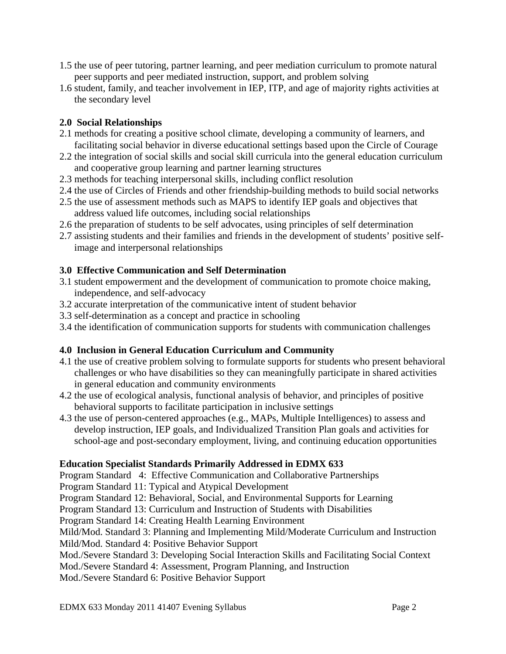- 1.5 the use of peer tutoring, partner learning, and peer mediation curriculum to promote natural peer supports and peer mediated instruction, support, and problem solving
- 1.6 student, family, and teacher involvement in IEP, ITP, and age of majority rights activities at the secondary level

# **2.0 Social Relationships**

- 2.1 methods for creating a positive school climate, developing a community of learners, and facilitating social behavior in diverse educational settings based upon the Circle of Courage
- 2.2 the integration of social skills and social skill curricula into the general education curriculum and cooperative group learning and partner learning structures
- 2.3 methods for teaching interpersonal skills, including conflict resolution
- 2.4 the use of Circles of Friends and other friendship-building methods to build social networks
- 2.5 the use of assessment methods such as MAPS to identify IEP goals and objectives that address valued life outcomes, including social relationships
- 2.6 the preparation of students to be self advocates, using principles of self determination
- 2.7 assisting students and their families and friends in the development of students' positive selfimage and interpersonal relationships

# **3.0 Effective Communication and Self Determination**

- 3.1 student empowerment and the development of communication to promote choice making, independence, and self-advocacy
- 3.2 accurate interpretation of the communicative intent of student behavior
- 3.3 self-determination as a concept and practice in schooling
- 3.4 the identification of communication supports for students with communication challenges

# **4.0 Inclusion in General Education Curriculum and Community**

- 4.1 the use of creative problem solving to formulate supports for students who present behavioral challenges or who have disabilities so they can meaningfully participate in shared activities in general education and community environments
- 4.2 the use of ecological analysis, functional analysis of behavior, and principles of positive behavioral supports to facilitate participation in inclusive settings
- 4.3 the use of person-centered approaches (e.g., MAPs, Multiple Intelligences) to assess and develop instruction, IEP goals, and Individualized Transition Plan goals and activities for school-age and post-secondary employment, living, and continuing education opportunities

# **Education Specialist Standards Primarily Addressed in EDMX 633**

Program Standard 4: Effective Communication and Collaborative Partnerships

Program Standard 11: Typical and Atypical Development

Program Standard 12: Behavioral, Social, and Environmental Supports for Learning

Program Standard 13: Curriculum and Instruction of Students with Disabilities

Program Standard 14: Creating Health Learning Environment

Mild/Mod. Standard 3: Planning and Implementing Mild/Moderate Curriculum and Instruction

Mild/Mod. Standard 4: Positive Behavior Support

- Mod./Severe Standard 3: Developing Social Interaction Skills and Facilitating Social Context
- Mod./Severe Standard 4: Assessment, Program Planning, and Instruction

Mod./Severe Standard 6: Positive Behavior Support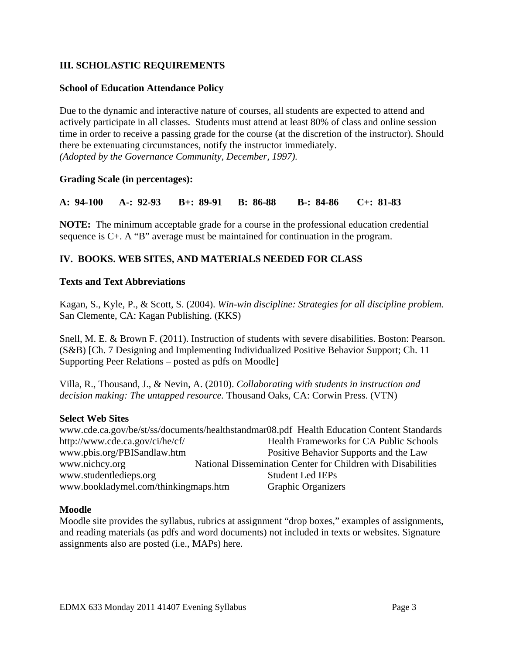# **III. SCHOLASTIC REQUIREMENTS**

## **School of Education Attendance Policy**

 *(Adopted by the Governance Community, December, 1997).* Due to the dynamic and interactive nature of courses, all students are expected to attend and actively participate in all classes. Students must attend at least 80% of class and online session time in order to receive a passing grade for the course (at the discretion of the instructor). Should there be extenuating circumstances, notify the instructor immediately.

## **Grading Scale (in percentages):**

**A: 94-100 A-: 92-93 B+: 89-91 B: 86-88 B-: 84-86 C+: 81-83** 

**NOTE:** The minimum acceptable grade for a course in the professional education credential sequence is C+. A "B" average must be maintained for continuation in the program.

# **IV. BOOKS. WEB SITES, AND MATERIALS NEEDED FOR CLASS**

#### **Texts and Text Abbreviations**

Kagan, S., Kyle, P., & Scott, S. (2004). *Win-win discipline: Strategies for all discipline problem.*  San Clemente, CA: Kagan Publishing. (KKS)

Snell, M. E. & Brown F. (2011). Instruction of students with severe disabilities. Boston: Pearson. (S&B) [Ch. 7 Designing and Implementing Individualized Positive Behavior Support; Ch. 11 Supporting Peer Relations – posted as pdfs on Moodle]

Villa, R., Thousand, J., & Nevin, A. (2010). *Collaborating with students in instruction and decision making: The untapped resource.* Thousand Oaks, CA: Corwin Press. (VTN)

#### **Select Web Sites**

www.pbis.org/PBISandlaw.htm www.cde.ca.gov/be/st/ss/documents/healthstandmar08.pdf Health Education Content Standards http://www.cde.ca.gov/ci/he/cf/ Health Frameworks for CA Public Schools Positive Behavior Supports and the Law. www.nichcy.org National Dissemination Center for Children with Disabilities www.studentledieps.org Student Led IEPs www.bookladymel.com/thinkingmaps.htm Graphic Organizers

#### **Moodle**

Moodle site provides the syllabus, rubrics at assignment "drop boxes," examples of assignments, and reading materials (as pdfs and word documents) not included in texts or websites. Signature assignments also are posted (i.e., MAPs) here.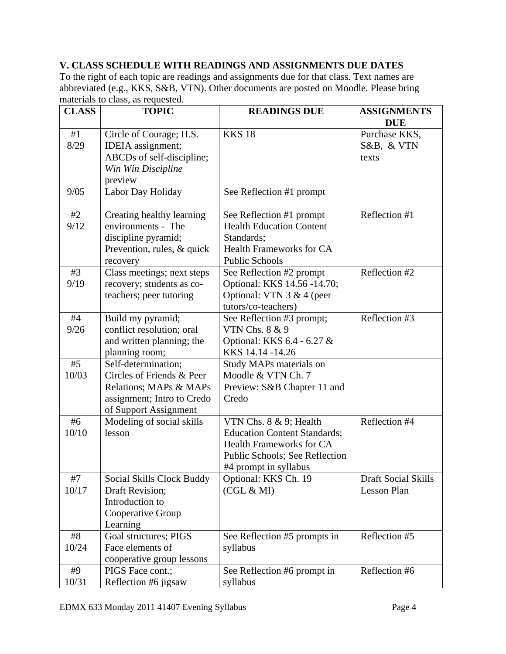# **V. CLASS SCHEDULE WITH READINGS AND ASSIGNMENTS DUE DATES**

materials to class, as requested. To the right of each topic are readings and assignments due for that class*.* Text names are abbreviated (e.g., KKS, S&B, VTN). Other documents are posted on Moodle. Please bring

| <b>CLASS</b><br><b>TOPIC</b> |                                               | <b>READINGS DUE</b>                                                    | <b>ASSIGNMENTS</b><br><b>DUE</b> |  |
|------------------------------|-----------------------------------------------|------------------------------------------------------------------------|----------------------------------|--|
| #1                           | Circle of Courage; H.S.                       | <b>KKS 18</b>                                                          | Purchase KKS,                    |  |
| 8/29                         | IDEIA assignment;                             |                                                                        | S&B, & VTN                       |  |
|                              | ABCDs of self-discipline;                     |                                                                        | texts                            |  |
|                              | Win Win Discipline                            |                                                                        |                                  |  |
|                              | preview                                       |                                                                        |                                  |  |
| 9/05                         | Labor Day Holiday                             | See Reflection #1 prompt                                               |                                  |  |
|                              |                                               |                                                                        |                                  |  |
| #2                           | Creating healthy learning                     | See Reflection #1 prompt                                               | Reflection #1                    |  |
| 9/12                         | environments - The                            | <b>Health Education Content</b>                                        |                                  |  |
|                              | discipline pyramid;                           | Standards;                                                             |                                  |  |
|                              | Prevention, rules, & quick                    | <b>Health Frameworks for CA</b>                                        |                                  |  |
|                              | recovery                                      | <b>Public Schools</b>                                                  |                                  |  |
| #3                           | Class meetings; next steps                    | See Reflection #2 prompt                                               | Reflection #2                    |  |
| 9/19                         | recovery; students as co-                     | Optional: KKS 14.56 -14.70;                                            |                                  |  |
|                              | teachers; peer tutoring                       | Optional: VTN $3 & 4$ (peer                                            |                                  |  |
|                              |                                               | tutors/co-teachers)                                                    |                                  |  |
| #4                           | Build my pyramid;                             | See Reflection #3 prompt;                                              | Reflection #3                    |  |
| 9/26                         | conflict resolution; oral                     | VTN Chs. 8 & 9                                                         |                                  |  |
|                              | and written planning; the                     | Optional: KKS 6.4 - 6.27 &                                             |                                  |  |
|                              | planning room;                                | KKS 14.14 - 14.26                                                      |                                  |  |
| #5                           | Self-determination;                           | Study MAPs materials on                                                |                                  |  |
| 10/03                        | Circles of Friends & Peer                     | Moodle & VTN Ch. 7                                                     |                                  |  |
|                              | Relations; MAPs & MAPs                        | Preview: S&B Chapter 11 and                                            |                                  |  |
|                              | assignment; Intro to Credo                    | Credo                                                                  |                                  |  |
| #6                           | of Support Assignment                         |                                                                        | Reflection #4                    |  |
|                              | Modeling of social skills                     | VTN Chs. 8 & 9; Health                                                 |                                  |  |
| 10/10                        | lesson                                        | <b>Education Content Standards;</b><br><b>Health Frameworks for CA</b> |                                  |  |
|                              |                                               |                                                                        |                                  |  |
|                              |                                               | Public Schools; See Reflection                                         |                                  |  |
|                              |                                               | #4 prompt in syllabus                                                  | <b>Draft Social Skills</b>       |  |
| #7                           | Social Skills Clock Buddy                     | Optional: KKS Ch. 19                                                   | Lesson Plan                      |  |
| 10/17                        | Draft Revision;<br>Introduction to            | (CGL & MI)                                                             |                                  |  |
|                              |                                               |                                                                        |                                  |  |
|                              | Cooperative Group<br>Learning                 |                                                                        |                                  |  |
| #8                           |                                               |                                                                        | Reflection #5                    |  |
| 10/24                        | Goal structures; PIGS<br>Face elements of     | See Reflection #5 prompts in<br>syllabus                               |                                  |  |
|                              |                                               |                                                                        |                                  |  |
| #9                           | cooperative group lessons<br>PIGS Face cont.; | See Reflection #6 prompt in                                            | Reflection #6                    |  |
| 10/31                        | Reflection #6 jigsaw                          | syllabus                                                               |                                  |  |
|                              |                                               |                                                                        |                                  |  |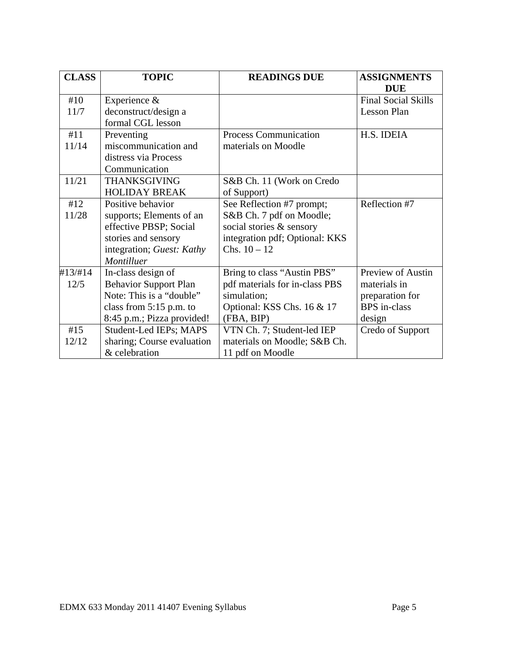| <b>CLASS</b> | <b>TOPIC</b>                 | <b>READINGS DUE</b>            | <b>ASSIGNMENTS</b>         |  |
|--------------|------------------------------|--------------------------------|----------------------------|--|
|              |                              |                                | <b>DUE</b>                 |  |
| #10          | Experience &                 |                                | <b>Final Social Skills</b> |  |
| 11/7         | deconstruct/design a         |                                | Lesson Plan                |  |
|              | formal CGL lesson            |                                |                            |  |
| #11          | Preventing                   | Process Communication          | H.S. IDEIA                 |  |
| 11/14        | miscommunication and         | materials on Moodle            |                            |  |
|              | distress via Process         |                                |                            |  |
|              | Communication                |                                |                            |  |
| 11/21        | <b>THANKSGIVING</b>          | S&B Ch. 11 (Work on Credo      |                            |  |
|              | <b>HOLIDAY BREAK</b>         | of Support)                    |                            |  |
| #12          | Positive behavior            | See Reflection #7 prompt;      | Reflection #7              |  |
| 11/28        | supports; Elements of an     | S&B Ch. 7 pdf on Moodle;       |                            |  |
|              | effective PBSP; Social       | social stories & sensory       |                            |  |
|              | stories and sensory          | integration pdf; Optional: KKS |                            |  |
|              | integration; Guest: Kathy    | Chs. $10 - 12$                 |                            |  |
|              | Montilluer                   |                                |                            |  |
| #13/#14      | In-class design of           | Bring to class "Austin PBS"    | Preview of Austin          |  |
| 12/5         | <b>Behavior Support Plan</b> | pdf materials for in-class PBS | materials in               |  |
|              | Note: This is a "double"     | simulation;                    | preparation for            |  |
|              | class from $5:15$ p.m. to    | Optional: KSS Chs. 16 & 17     | <b>BPS</b> in-class        |  |
|              | 8:45 p.m.; Pizza provided!   | (FBA, BIP)                     | design                     |  |
| #15          | Student-Led IEPs; MAPS       | VTN Ch. 7; Student-led IEP     | Credo of Support           |  |
| 12/12        | sharing; Course evaluation   | materials on Moodle; S&B Ch.   |                            |  |
|              | & celebration                | 11 pdf on Moodle               |                            |  |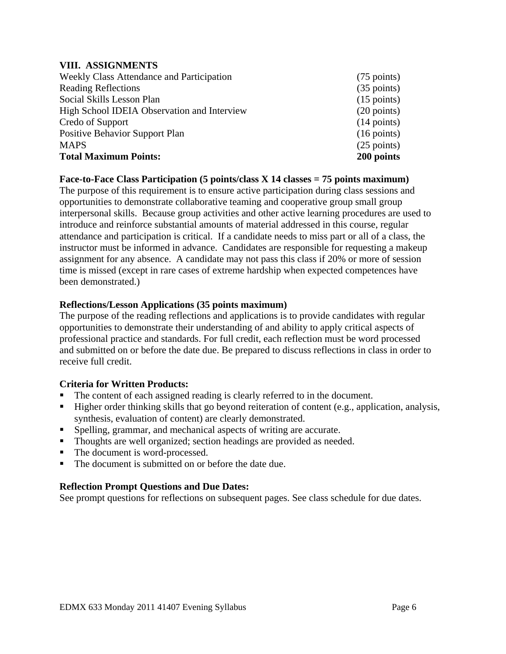#### **VIII. ASSIGNMENTS**

| Weekly Class Attendance and Participation   | $(75 \text{ points})$ |
|---------------------------------------------|-----------------------|
| <b>Reading Reflections</b>                  | $(35 \text{ points})$ |
| Social Skills Lesson Plan                   | $(15 \text{ points})$ |
| High School IDEIA Observation and Interview | $(20 \text{ points})$ |
| Credo of Support                            | $(14 \text{ points})$ |
| <b>Positive Behavior Support Plan</b>       | $(16 \text{ points})$ |
| <b>MAPS</b>                                 | $(25$ points)         |
| <b>Total Maximum Points:</b>                | 200 points            |

#### **Face-to-Face Class Participation (5 points/class X 14 classes = 75 points maximum)**

The purpose of this requirement is to ensure active participation during class sessions and opportunities to demonstrate collaborative teaming and cooperative group small group interpersonal skills. Because group activities and other active learning procedures are used to introduce and reinforce substantial amounts of material addressed in this course, regular attendance and participation is critical. If a candidate needs to miss part or all of a class, the instructor must be informed in advance. Candidates are responsible for requesting a makeup assignment for any absence. A candidate may not pass this class if 20% or more of session time is missed (except in rare cases of extreme hardship when expected competences have been demonstrated.)

#### **Reflections/Lesson Applications (35 points maximum)**

The purpose of the reading reflections and applications is to provide candidates with regular opportunities to demonstrate their understanding of and ability to apply critical aspects of professional practice and standards. For full credit, each reflection must be word processed and submitted on or before the date due. Be prepared to discuss reflections in class in order to receive full credit.

#### **Criteria for Written Products:**

- The content of each assigned reading is clearly referred to in the document.
- Higher order thinking skills that go beyond reiteration of content (e.g., application, analysis, synthesis, evaluation of content) are clearly demonstrated.
- Spelling, grammar, and mechanical aspects of writing are accurate.
- Thoughts are well organized; section headings are provided as needed.
- The document is word-processed.
- The document is submitted on or before the date due.

# **Reflection Prompt Questions and Due Dates:**

See prompt questions for reflections on subsequent pages. See class schedule for due dates.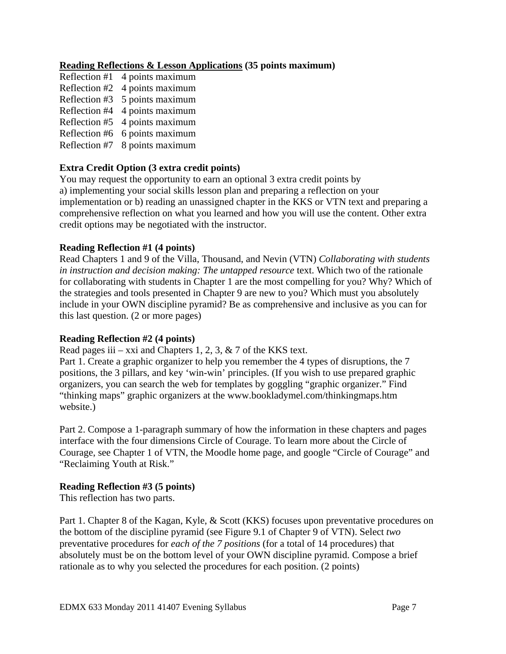# **Reading Reflections & Lesson Applications (35 points maximum)**

- Reflection #1 4 points maximum Reflection #2 4 points maximum Reflection #3 5 points maximum Reflection #4 4 points maximum Reflection #5 4 points maximum Reflection #6 6 points maximum
- 
- Reflection #7 8 points maximum

#### **Extra Credit Option (3 extra credit points)**

You may request the opportunity to earn an optional 3 extra credit points by a) implementing your social skills lesson plan and preparing a reflection on your implementation or b) reading an unassigned chapter in the KKS or VTN text and preparing a comprehensive reflection on what you learned and how you will use the content. Other extra credit options may be negotiated with the instructor.

#### **Reading Reflection #1 (4 points)**

Read Chapters 1 and 9 of the Villa, Thousand, and Nevin (VTN) *Collaborating with students in instruction and decision making: The untapped resource* text. Which two of the rationale for collaborating with students in Chapter 1 are the most compelling for you? Why? Which of the strategies and tools presented in Chapter 9 are new to you? Which must you absolutely include in your OWN discipline pyramid? Be as comprehensive and inclusive as you can for this last question. (2 or more pages)

#### **Reading Reflection #2 (4 points)**

Read pages iii – xxi and Chapters 1, 2, 3,  $\&$  7 of the KKS text.

Part 1. Create a graphic organizer to help you remember the 4 types of disruptions, the 7 positions, the 3 pillars, and key 'win-win' principles. (If you wish to use prepared graphic organizers, you can search the web for templates by goggling "graphic organizer." Find "thinking maps" graphic organizers at the www.bookladymel.com/thinkingmaps.htm website.)

Part 2. Compose a 1-paragraph summary of how the information in these chapters and pages interface with the four dimensions Circle of Courage. To learn more about the Circle of Courage, see Chapter 1 of VTN, the Moodle home page, and google "Circle of Courage" and "Reclaiming Youth at Risk."

#### **Reading Reflection #3 (5 points)**

This reflection has two parts.

Part 1. Chapter 8 of the Kagan, Kyle, & Scott (KKS) focuses upon preventative procedures on the bottom of the discipline pyramid (see Figure 9.1 of Chapter 9 of VTN). Select *two*  preventative procedures for *each of the 7 positions* (for a total of 14 procedures) that absolutely must be on the bottom level of your OWN discipline pyramid. Compose a brief rationale as to why you selected the procedures for each position. (2 points)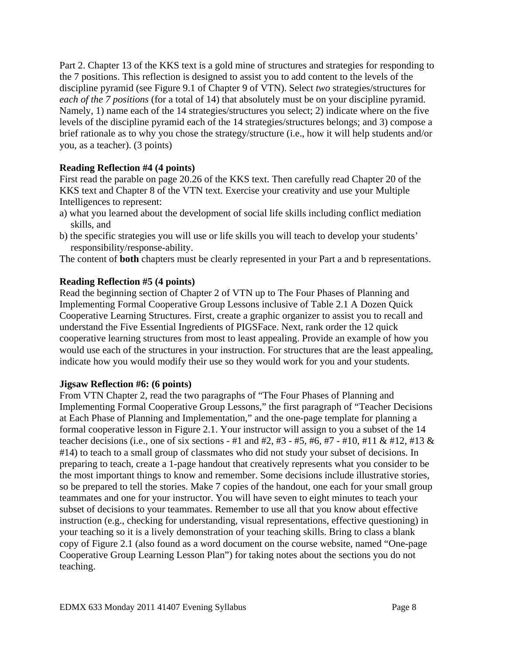Part 2. Chapter 13 of the KKS text is a gold mine of structures and strategies for responding to the 7 positions. This reflection is designed to assist you to add content to the levels of the discipline pyramid (see Figure 9.1 of Chapter 9 of VTN). Select *two* strategies/structures for *each of the 7 positions* (for a total of 14) that absolutely must be on your discipline pyramid. Namely, 1) name each of the 14 strategies/structures you select; 2) indicate where on the five levels of the discipline pyramid each of the 14 strategies/structures belongs; and 3) compose a brief rationale as to why you chose the strategy/structure (i.e., how it will help students and/or you, as a teacher). (3 points)

# **Reading Reflection #4 (4 points)**

First read the parable on page 20.26 of the KKS text. Then carefully read Chapter 20 of the KKS text and Chapter 8 of the VTN text. Exercise your creativity and use your Multiple Intelligences to represent:

- a) what you learned about the development of social life skills including conflict mediation skills, and
- b) the specific strategies you will use or life skills you will teach to develop your students' responsibility/response-ability.

The content of **both** chapters must be clearly represented in your Part a and b representations.

# **Reading Reflection #5 (4 points)**

Read the beginning section of Chapter 2 of VTN up to The Four Phases of Planning and Implementing Formal Cooperative Group Lessons inclusive of Table 2.1 A Dozen Quick Cooperative Learning Structures. First, create a graphic organizer to assist you to recall and understand the Five Essential Ingredients of PIGSFace. Next, rank order the 12 quick cooperative learning structures from most to least appealing. Provide an example of how you would use each of the structures in your instruction. For structures that are the least appealing, indicate how you would modify their use so they would work for you and your students.

# **Jigsaw Reflection #6: (6 points)**

From VTN Chapter 2, read the two paragraphs of "The Four Phases of Planning and Implementing Formal Cooperative Group Lessons," the first paragraph of "Teacher Decisions at Each Phase of Planning and Implementation," and the one-page template for planning a formal cooperative lesson in Figure 2.1. Your instructor will assign to you a subset of the 14 teacher decisions (i.e., one of six sections - #1 and #2, #3 - #5, #6, #7 - #10, #11 & #12, #13 & #14) to teach to a small group of classmates who did not study your subset of decisions. In preparing to teach, create a 1-page handout that creatively represents what you consider to be the most important things to know and remember. Some decisions include illustrative stories, so be prepared to tell the stories. Make 7 copies of the handout, one each for your small group teammates and one for your instructor. You will have seven to eight minutes to teach your subset of decisions to your teammates. Remember to use all that you know about effective instruction (e.g., checking for understanding, visual representations, effective questioning) in your teaching so it is a lively demonstration of your teaching skills. Bring to class a blank copy of Figure 2.1 (also found as a word document on the course website, named "One-page Cooperative Group Learning Lesson Plan") for taking notes about the sections you do not teaching.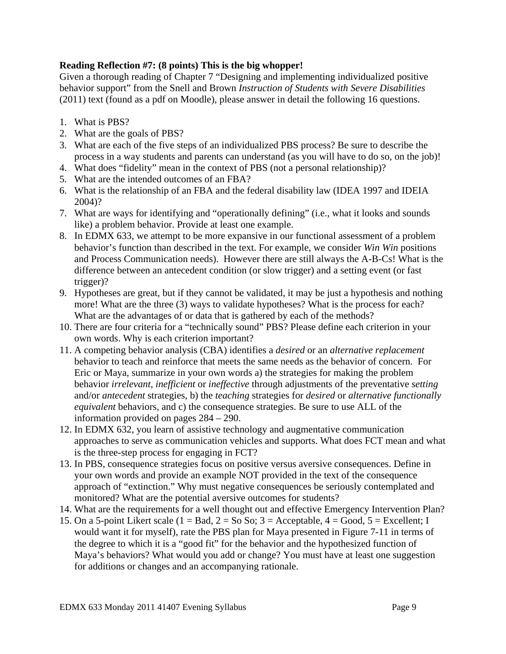# **Reading Reflection #7: (8 points) This is the big whopper!**

Given a thorough reading of Chapter 7 "Designing and implementing individualized positive behavior support" from the Snell and Brown *Instruction of Students with Severe Disabilities*  (2011) text (found as a pdf on Moodle), please answer in detail the following 16 questions.

- 1. What is PBS?
- 2. What are the goals of PBS?
- 3. What are each of the five steps of an individualized PBS process? Be sure to describe the process in a way students and parents can understand (as you will have to do so, on the job)!
- 4. What does "fidelity" mean in the context of PBS (not a personal relationship)?
- 5. What are the intended outcomes of an FBA?
- 6. What is the relationship of an FBA and the federal disability law (IDEA 1997 and IDEIA 2004)?
- 7. What are ways for identifying and "operationally defining" (i.e., what it looks and sounds like) a problem behavior. Provide at least one example.
- 8. In EDMX 633, we attempt to be more expansive in our functional assessment of a problem behavior's function than described in the text. For example, we consider *Win Win* positions and Process Communication needs). However there are still always the A-B-Cs! What is the difference between an antecedent condition (or slow trigger) and a setting event (or fast trigger)?
- 9. Hypotheses are great, but if they cannot be validated, it may be just a hypothesis and nothing more! What are the three (3) ways to validate hypotheses? What is the process for each? What are the advantages of or data that is gathered by each of the methods?
- 10. There are four criteria for a "technically sound" PBS? Please define each criterion in your own words. Why is each criterion important?
- 11. A competing behavior analysis (CBA) identifies a *desired* or an *alternative replacement*  behavior to teach and reinforce that meets the same needs as the behavior of concern. For Eric or Maya, summarize in your own words a) the strategies for making the problem behavior *irrelevant*, *inefficient* or *ineffective* through adjustments of the preventative *setting*  and/or *antecedent* strategies, b) the *teaching* strategies for *desired* or *alternative functionally equivalent* behaviors, and c) the consequence strategies. Be sure to use ALL of the information provided on pages 284 – 290.
- 12. In EDMX 632, you learn of assistive technology and augmentative communication approaches to serve as communication vehicles and supports. What does FCT mean and what is the three-step process for engaging in FCT?
- 13. In PBS, consequence strategies focus on positive versus aversive consequences. Define in your own words and provide an example NOT provided in the text of the consequence approach of "extinction." Why must negative consequences be seriously contemplated and monitored? What are the potential aversive outcomes for students?
- 14. What are the requirements for a well thought out and effective Emergency Intervention Plan?
- 15. On a 5-point Likert scale ( $1 = Bad$ ,  $2 = So So$ ;  $3 = Acceptable$ ,  $4 = Good$ ,  $5 = Excellen$ ; I would want it for myself), rate the PBS plan for Maya presented in Figure 7-11 in terms of the degree to which it is a "good fit" for the behavior and the hypothesized function of Maya's behaviors? What would you add or change? You must have at least one suggestion for additions or changes and an accompanying rationale.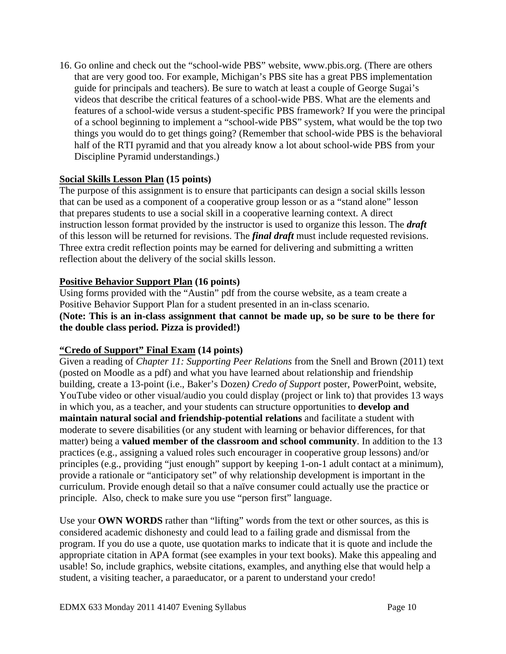16. Go online and check out the "school-wide PBS" website, www.pbis.org. (There are others that are very good too. For example, Michigan's PBS site has a great PBS implementation guide for principals and teachers). Be sure to watch at least a couple of George Sugai's videos that describe the critical features of a school-wide PBS. What are the elements and features of a school-wide versus a student-specific PBS framework? If you were the principal of a school beginning to implement a "school-wide PBS" system, what would be the top two things you would do to get things going? (Remember that school-wide PBS is the behavioral half of the RTI pyramid and that you already know a lot about school-wide PBS from your Discipline Pyramid understandings.)

# **Social Skills Lesson Plan (15 points)**

The purpose of this assignment is to ensure that participants can design a social skills lesson that can be used as a component of a cooperative group lesson or as a "stand alone" lesson that prepares students to use a social skill in a cooperative learning context. A direct instruction lesson format provided by the instructor is used to organize this lesson. The *draft*  of this lesson will be returned for revisions. The *final draft* must include requested revisions. Three extra credit reflection points may be earned for delivering and submitting a written reflection about the delivery of the social skills lesson.

# **Positive Behavior Support Plan (16 points)**

Using forms provided with the "Austin" pdf from the course website, as a team create a Positive Behavior Support Plan for a student presented in an in-class scenario. **(Note: This is an in-class assignment that cannot be made up, so be sure to be there for the double class period. Pizza is provided!)** 

# **"Credo of Support" Final Exam (14 points)**

Given a reading of *Chapter 11: Supporting Peer Relations* from the Snell and Brown (2011) text (posted on Moodle as a pdf) and what you have learned about relationship and friendship building, create a 13-point (i.e., Baker's Dozen*) Credo of Support* poster, PowerPoint, website, YouTube video or other visual/audio you could display (project or link to) that provides 13 ways in which you, as a teacher, and your students can structure opportunities to **develop and maintain natural social and friendship-potential relations** and facilitate a student with moderate to severe disabilities (or any student with learning or behavior differences, for that matter) being a **valued member of the classroom and school community**. In addition to the 13 practices (e.g., assigning a valued roles such encourager in cooperative group lessons) and/or principles (e.g., providing "just enough" support by keeping 1-on-1 adult contact at a minimum), provide a rationale or "anticipatory set" of why relationship development is important in the curriculum. Provide enough detail so that a naïve consumer could actually use the practice or principle. Also, check to make sure you use "person first" language.

Use your **OWN WORDS** rather than "lifting" words from the text or other sources, as this is considered academic dishonesty and could lead to a failing grade and dismissal from the program. If you do use a quote, use quotation marks to indicate that it is quote and include the appropriate citation in APA format (see examples in your text books). Make this appealing and usable! So, include graphics, website citations, examples, and anything else that would help a student, a visiting teacher, a paraeducator, or a parent to understand your credo!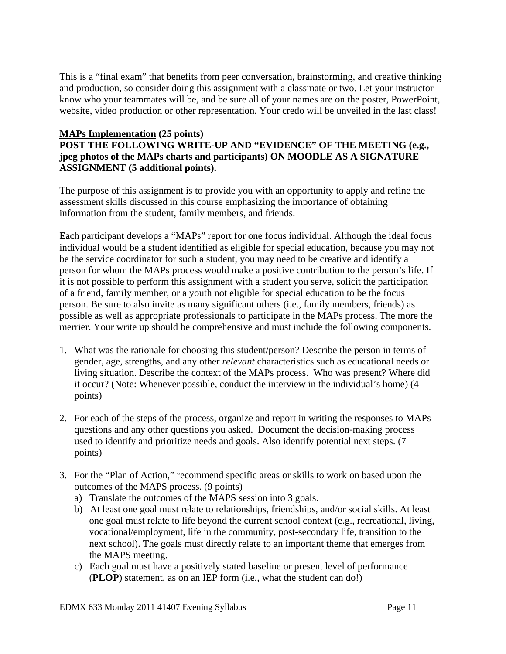This is a "final exam" that benefits from peer conversation, brainstorming, and creative thinking and production, so consider doing this assignment with a classmate or two. Let your instructor know who your teammates will be, and be sure all of your names are on the poster, PowerPoint, website, video production or other representation. Your credo will be unveiled in the last class!

# **MAPs Implementation (25 points)**

# **POST THE FOLLOWING WRITE-UP AND "EVIDENCE" OF THE MEETING (e.g., jpeg photos of the MAPs charts and participants) ON MOODLE AS A SIGNATURE ASSIGNMENT (5 additional points).**

The purpose of this assignment is to provide you with an opportunity to apply and refine the assessment skills discussed in this course emphasizing the importance of obtaining information from the student, family members, and friends.

Each participant develops a "MAPs" report for one focus individual. Although the ideal focus individual would be a student identified as eligible for special education, because you may not be the service coordinator for such a student, you may need to be creative and identify a person for whom the MAPs process would make a positive contribution to the person's life. If it is not possible to perform this assignment with a student you serve, solicit the participation of a friend, family member, or a youth not eligible for special education to be the focus person. Be sure to also invite as many significant others (i.e., family members, friends) as possible as well as appropriate professionals to participate in the MAPs process. The more the merrier. Your write up should be comprehensive and must include the following components.

- 1. What was the rationale for choosing this student/person? Describe the person in terms of gender, age, strengths, and any other *relevant* characteristics such as educational needs or living situation. Describe the context of the MAPs process. Who was present? Where did it occur? (Note: Whenever possible, conduct the interview in the individual's home) (4 points)
- 2. For each of the steps of the process, organize and report in writing the responses to MAPs questions and any other questions you asked. Document the decision-making process used to identify and prioritize needs and goals. Also identify potential next steps. (7 points)
- 3. For the "Plan of Action," recommend specific areas or skills to work on based upon the outcomes of the MAPS process. (9 points)
	- a) Translate the outcomes of the MAPS session into 3 goals.
	- b) At least one goal must relate to relationships, friendships, and/or social skills. At least one goal must relate to life beyond the current school context (e.g., recreational, living, vocational/employment, life in the community, post-secondary life, transition to the next school). The goals must directly relate to an important theme that emerges from the MAPS meeting.
	- c) Each goal must have a positively stated baseline or present level of performance (**PLOP**) statement, as on an IEP form (i.e., what the student can do!)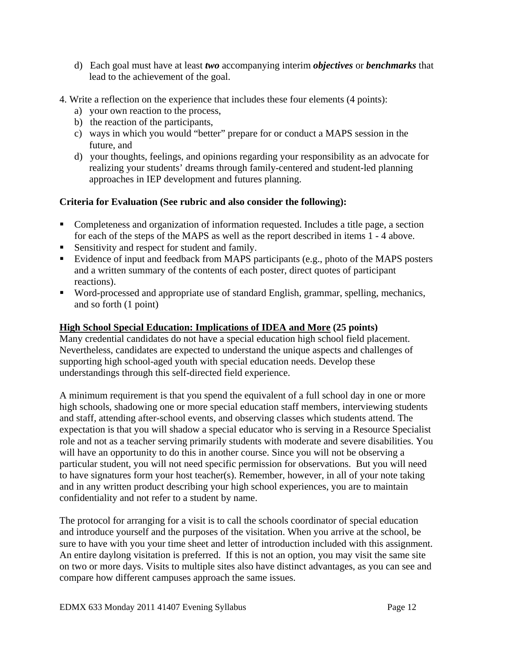- d) Each goal must have at least *two* accompanying interim *objectives* or *benchmarks* that lead to the achievement of the goal.
- 4. Write a reflection on the experience that includes these four elements (4 points):
	- a) your own reaction to the process,
	- b) the reaction of the participants,
	- c) ways in which you would "better" prepare for or conduct a MAPS session in the future, and
	- d) your thoughts, feelings, and opinions regarding your responsibility as an advocate for realizing your students' dreams through family-centered and student-led planning approaches in IEP development and futures planning.

# **Criteria for Evaluation (See rubric and also consider the following):**

- Completeness and organization of information requested. Includes a title page, a section for each of the steps of the MAPS as well as the report described in items 1 - 4 above.
- Sensitivity and respect for student and family.
- Evidence of input and feedback from MAPS participants (e.g., photo of the MAPS posters and a written summary of the contents of each poster, direct quotes of participant reactions).
- Word-processed and appropriate use of standard English, grammar, spelling, mechanics, and so forth (1 point)

# **High School Special Education: Implications of IDEA and More (25 points)**

Many credential candidates do not have a special education high school field placement. Nevertheless, candidates are expected to understand the unique aspects and challenges of supporting high school-aged youth with special education needs. Develop these understandings through this self-directed field experience.

A minimum requirement is that you spend the equivalent of a full school day in one or more high schools, shadowing one or more special education staff members, interviewing students and staff, attending after-school events, and observing classes which students attend. The expectation is that you will shadow a special educator who is serving in a Resource Specialist role and not as a teacher serving primarily students with moderate and severe disabilities. You will have an opportunity to do this in another course. Since you will not be observing a particular student, you will not need specific permission for observations. But you will need to have signatures form your host teacher(s). Remember, however, in all of your note taking and in any written product describing your high school experiences, you are to maintain confidentiality and not refer to a student by name.

The protocol for arranging for a visit is to call the schools coordinator of special education and introduce yourself and the purposes of the visitation. When you arrive at the school, be sure to have with you your time sheet and letter of introduction included with this assignment. An entire daylong visitation is preferred. If this is not an option, you may visit the same site on two or more days. Visits to multiple sites also have distinct advantages, as you can see and compare how different campuses approach the same issues.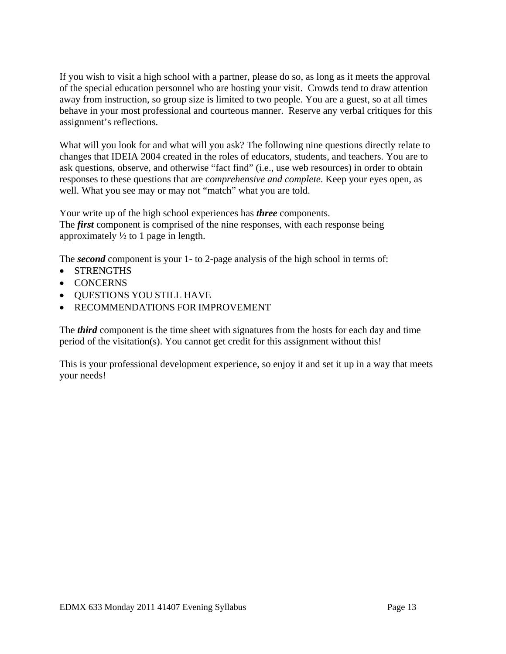If you wish to visit a high school with a partner, please do so, as long as it meets the approval of the special education personnel who are hosting your visit. Crowds tend to draw attention away from instruction, so group size is limited to two people. You are a guest, so at all times behave in your most professional and courteous manner. Reserve any verbal critiques for this assignment's reflections.

What will you look for and what will you ask? The following nine questions directly relate to changes that IDEIA 2004 created in the roles of educators, students, and teachers. You are to ask questions, observe, and otherwise "fact find" (i.e., use web resources) in order to obtain responses to these questions that are *comprehensive and complete*. Keep your eyes open, as well. What you see may or may not "match" what you are told.

Your write up of the high school experiences has *three* components. The *first* component is comprised of the nine responses, with each response being approximately  $\frac{1}{2}$  to 1 page in length.

The *second* component is your 1- to 2-page analysis of the high school in terms of:

- STRENGTHS
- CONCERNS
- QUESTIONS YOU STILL HAVE
- RECOMMENDATIONS FOR IMPROVEMENT

The *third* component is the time sheet with signatures from the hosts for each day and time period of the visitation(s). You cannot get credit for this assignment without this!

This is your professional development experience, so enjoy it and set it up in a way that meets your needs!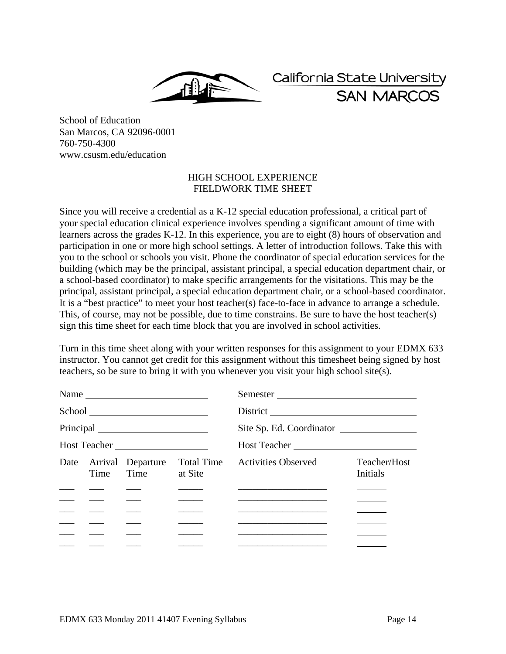California State University **SAN MARCOS** 

School of Education San Marcos, CA 92096-0001 760-750-4300 www.csusm.edu/education

## HIGH SCHOOL EXPERIENCE FIELDWORK TIME SHEET

Since you will receive a credential as a K-12 special education professional, a critical part of your special education clinical experience involves spending a significant amount of time with learners across the grades K-12. In this experience, you are to eight (8) hours of observation and participation in one or more high school settings. A letter of introduction follows. Take this with you to the school or schools you visit. Phone the coordinator of special education services for the building (which may be the principal, assistant principal, a special education department chair, or a school-based coordinator) to make specific arrangements for the visitations. This may be the principal, assistant principal, a special education department chair, or a school-based coordinator. It is a "best practice" to meet your host teacher(s) face-to-face in advance to arrange a schedule. This, of course, may not be possible, due to time constrains. Be sure to have the host teacher(s) sign this time sheet for each time block that you are involved in school activities.

Turn in this time sheet along with your written responses for this assignment to your EDMX 633 instructor. You cannot get credit for this assignment without this timesheet being signed by host teachers, so be sure to bring it with you whenever you visit your high school site(s).

|              |                                                       |                                        |              | Semester                                                                   |                                 |  |
|--------------|-------------------------------------------------------|----------------------------------------|--------------|----------------------------------------------------------------------------|---------------------------------|--|
|              |                                                       |                                        |              |                                                                            |                                 |  |
|              |                                                       |                                        |              | Site Sp. Ed. Coordinator                                                   |                                 |  |
| Host Teacher |                                                       |                                        | Host Teacher |                                                                            |                                 |  |
|              | Time                                                  | Date Arrival Departure<br>Time at Site | Total Time   | <b>Activities Observed</b>                                                 | Teacher/Host<br><b>Initials</b> |  |
|              |                                                       |                                        |              |                                                                            |                                 |  |
|              |                                                       |                                        |              |                                                                            |                                 |  |
|              | $\overline{\phantom{a}}$ and $\overline{\phantom{a}}$ |                                        |              |                                                                            |                                 |  |
|              |                                                       |                                        |              |                                                                            |                                 |  |
|              | <u>and the second second</u>                          |                                        |              | the control of the control of the control of the control of the control of |                                 |  |
|              |                                                       |                                        |              |                                                                            |                                 |  |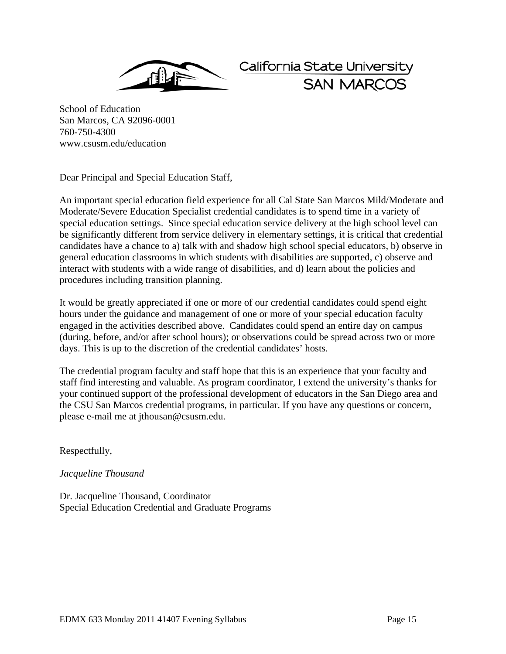

California State University **SAN MARCO** 

School of Education San Marcos, CA 92096-0001 760-750-4300 www.csusm.edu/education

Dear Principal and Special Education Staff,

An important special education field experience for all Cal State San Marcos Mild/Moderate and Moderate/Severe Education Specialist credential candidates is to spend time in a variety of special education settings. Since special education service delivery at the high school level can be significantly different from service delivery in elementary settings, it is critical that credential candidates have a chance to a) talk with and shadow high school special educators, b) observe in general education classrooms in which students with disabilities are supported, c) observe and interact with students with a wide range of disabilities, and d) learn about the policies and procedures including transition planning.

It would be greatly appreciated if one or more of our credential candidates could spend eight hours under the guidance and management of one or more of your special education faculty engaged in the activities described above. Candidates could spend an entire day on campus (during, before, and/or after school hours); or observations could be spread across two or more days. This is up to the discretion of the credential candidates' hosts.

The credential program faculty and staff hope that this is an experience that your faculty and staff find interesting and valuable. As program coordinator, I extend the university's thanks for your continued support of the professional development of educators in the San Diego area and the CSU San Marcos credential programs, in particular. If you have any questions or concern, please e-mail me at jthousan@csusm.edu.

Respectfully,

# *Jacqueline Thousand*

Dr. Jacqueline Thousand, Coordinator Special Education Credential and Graduate Programs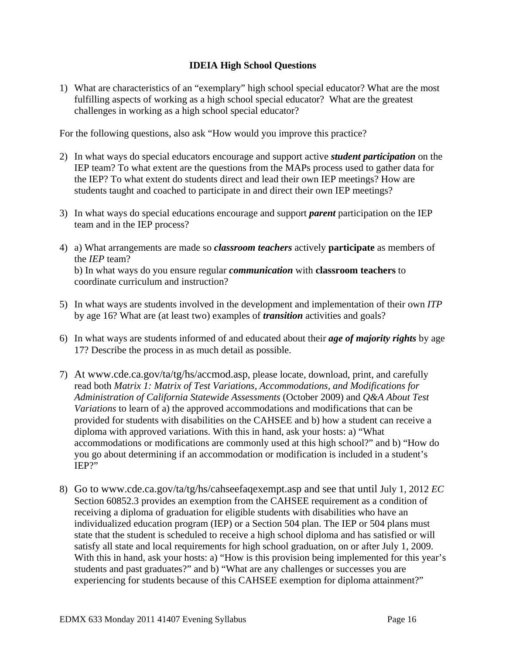# **IDEIA High School Questions**

challenges in working as a high school special educator? 1) What are characteristics of an "exemplary" high school special educator? What are the most fulfilling aspects of working as a high school special educator? What are the greatest

For the following questions, also ask "How would you improve this practice?

- 2) In what ways do special educators encourage and support active *student participation* on the IEP team? To what extent are the questions from the MAPs process used to gather data for the IEP? To what extent do students direct and lead their own IEP meetings? How are students taught and coached to participate in and direct their own IEP meetings?
- team and in the IEP process? 3) In what ways do special educations encourage and support *parent* participation on the IEP
- team and in the IEP process? 4) a) What arrangements are made so *classroom teachers* actively **participate** as members of the *IEP* team? b) In what ways do you ensure regular *communication* with **classroom teachers** to coordinate curriculum and instruction?
- 5) In what ways are students involved in the development and implementation of their own *ITP*  by age 16? What are (at least two) examples of *transition* activities and goals?
- 6) In what ways are students informed of and educated about their *age of majority rights* by age 17? Describe the process in as much detail as possible.
- 7) At www.cde.ca.gov/ta/tg/hs/accmod.asp, please locate, download, print, and carefully read both *Matrix 1: Matrix of Test Variations, Accommodations, and Modifications for Administration of California Statewide Assessments* (October 2009) and *Q&A About Test Variations* to learn of a) the approved accommodations and modifications that can be provided for students with disabilities on the CAHSEE and b) how a student can receive a diploma with approved variations. With this in hand, ask your hosts: a) "What accommodations or modifications are commonly used at this high school?" and b) "How do you go about determining if an accommodation or modification is included in a student's IEP?"
- 8) Go to www.cde.ca.gov/ta/tg/hs/cahseefaqexempt.asp and see that until July 1, 2012 *EC*  Section 60852.3 provides an exemption from the CAHSEE requirement as a condition of receiving a diploma of graduation for eligible students with disabilities who have an individualized education program (IEP) or a Section 504 plan. The IEP or 504 plans must state that the student is scheduled to receive a high school diploma and has satisfied or will satisfy all state and local requirements for high school graduation, on or after July 1, 2009. With this in hand, ask your hosts: a) "How is this provision being implemented for this year's students and past graduates?" and b) "What are any challenges or successes you are experiencing for students because of this CAHSEE exemption for diploma attainment?"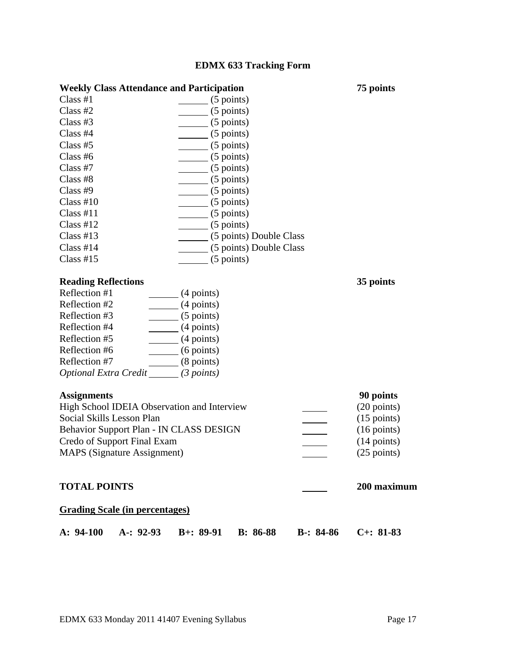# **EDMX 633 Tracking Form**

| <b>Weekly Class Attendance and Participation</b> |                         |  |  |  |
|--------------------------------------------------|-------------------------|--|--|--|
| Class H1                                         | $(5$ points)            |  |  |  |
| Class $#2$                                       | $(5$ points)            |  |  |  |
| Class $#3$                                       | $(5$ points)            |  |  |  |
| Class $#4$                                       | $(5$ points)            |  |  |  |
| Class $#5$                                       | $(5$ points)            |  |  |  |
| Class $#6$                                       | $(5$ points)            |  |  |  |
| Class $#7$                                       | $(5$ points)            |  |  |  |
| Class #8                                         | $(5$ points)            |  |  |  |
| Class $#9$                                       | $(5$ points)            |  |  |  |
| Class $#10$                                      | $(5$ points)            |  |  |  |
| Class #11                                        | $(5$ points)            |  |  |  |
| Class H12                                        | $(5$ points)            |  |  |  |
| Class $#13$                                      | (5 points) Double Class |  |  |  |
| Class $#14$                                      | (5 points) Double Class |  |  |  |
| Class $#15$                                      | $(5$ points)            |  |  |  |

# **Reading Reflections**

| $(4$ points)                               |
|--------------------------------------------|
| $(4$ points)                               |
| $(5$ points)                               |
| $(4$ points)                               |
| $(4$ points)                               |
| $(6$ points)                               |
| $(8$ points)                               |
| (3 points)<br><b>Optional Extra Credit</b> |
|                                            |

## **Assignments**

| <b>Assignments</b>                          | 90 points             |
|---------------------------------------------|-----------------------|
| High School IDEIA Observation and Interview | $(20 \text{ points})$ |
| Social Skills Lesson Plan                   | $(15 \text{ points})$ |
| Behavior Support Plan - IN CLASS DESIGN     | $(16 \text{ points})$ |
| Credo of Support Final Exam                 | $(14 \text{ points})$ |
| <b>MAPS</b> (Signature Assignment)          | $(25 \text{ points})$ |

# **TOTAL POINTS** 200 maximum 200 maximum

**75 points** 

 **35 points** 

## **Grading Scale (in percentages)**

|  |  | A: 94-100 A: 92-93 B+: 89-91 B: 86-88 B-: 84-86 C+: 81-83 |  |
|--|--|-----------------------------------------------------------|--|
|  |  |                                                           |  |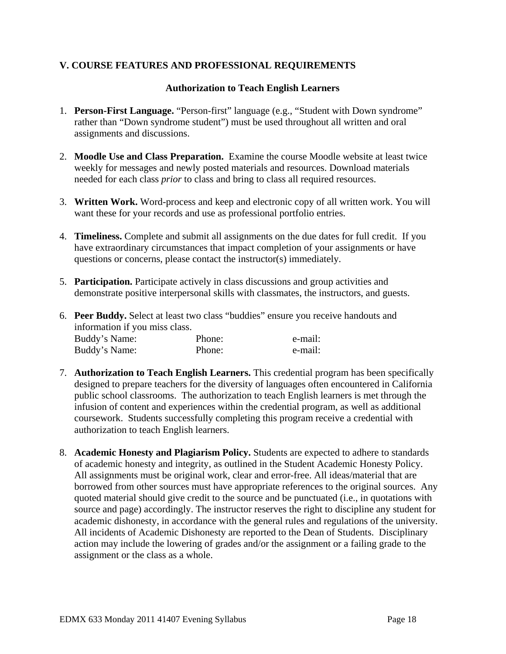# **V. COURSE FEATURES AND PROFESSIONAL REQUIREMENTS**

# **Authorization to Teach English Learners**

- 1. **Person-First Language.** "Person-first" language (e.g., "Student with Down syndrome" rather than "Down syndrome student") must be used throughout all written and oral assignments and discussions.
- 2. **Moodle Use and Class Preparation.** Examine the course Moodle website at least twice weekly for messages and newly posted materials and resources. Download materials needed for each class *prior* to class and bring to class all required resources.
- 3. **Written Work.** Word-process and keep and electronic copy of all written work. You will want these for your records and use as professional portfolio entries.
- 4. **Timeliness.** Complete and submit all assignments on the due dates for full credit. If you have extraordinary circumstances that impact completion of your assignments or have questions or concerns, please contact the instructor(s) immediately.
- 5. **Participation.** Participate actively in class discussions and group activities and demonstrate positive interpersonal skills with classmates, the instructors, and guests.
- Buddy's Name: Phone: e-mail: 6. **Peer Buddy.** Select at least two class "buddies" ensure you receive handouts and information if you miss class. Buddy's Name: Phone: e-mail:
- 7. **Authorization to Teach English Learners.** This credential program has been specifically designed to prepare teachers for the diversity of languages often encountered in California public school classrooms. The authorization to teach English learners is met through the infusion of content and experiences within the credential program, as well as additional coursework. Students successfully completing this program receive a credential with authorization to teach English learners.
- 8. **Academic Honesty and Plagiarism Policy.** Students are expected to adhere to standards of academic honesty and integrity, as outlined in the Student Academic Honesty Policy. All assignments must be original work, clear and error-free. All ideas/material that are borrowed from other sources must have appropriate references to the original sources. Any quoted material should give credit to the source and be punctuated (i.e., in quotations with source and page) accordingly. The instructor reserves the right to discipline any student for academic dishonesty, in accordance with the general rules and regulations of the university. All incidents of Academic Dishonesty are reported to the Dean of Students. Disciplinary action may include the lowering of grades and/or the assignment or a failing grade to the assignment or the class as a whole.